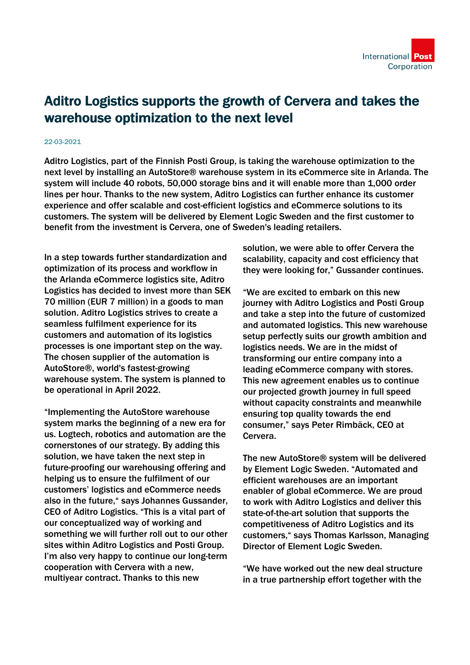## Aditro Logistics supports the growth of Cervera and takes the warehouse optimization to the next level

## 22-03-2021

Aditro Logistics, part of the Finnish Posti Group, is taking the warehouse optimization to the next level by installing an AutoStore® warehouse system in its eCommerce site in Arlanda. The system will include 40 robots, 50,000 storage bins and it will enable more than 1,000 order lines per hour. Thanks to the new system, Aditro Logistics can further enhance its customer experience and offer scalable and cost-efficient logistics and eCommerce solutions to its customers. The system will be delivered by Element Logic Sweden and the first customer to benefit from the investment is Cervera, one of Sweden's leading retailers.

In a step towards further standardization and optimization of its process and workflow in the Arlanda eCommerce logistics site, Aditro Logistics has decided to invest more than SEK 70 million (EUR 7 million) in a goods to man solution. Aditro Logistics strives to create a seamless fulfilment experience for its customers and automation of its logistics processes is one important step on the way. The chosen supplier of the automation is AutoStore®, world's fastest-growing warehouse system. The system is planned to be operational in April 2022.

"Implementing the AutoStore warehouse system marks the beginning of a new era for us. Logtech, robotics and automation are the cornerstones of our strategy. By adding this solution, we have taken the next step in future-proofing our warehousing offering and helping us to ensure the fulfilment of our customers' logistics and eCommerce needs also in the future," says Johannes Gussander, CEO of Aditro Logistics. "This is a vital part of our conceptualized way of working and something we will further roll out to our other sites within Aditro Logistics and Posti Group. I'm also very happy to continue our long-term cooperation with Cervera with a new, multiyear contract. Thanks to this new

solution, we were able to offer Cervera the scalability, capacity and cost efficiency that they were looking for," Gussander continues.

"We are excited to embark on this new journey with Aditro Logistics and Posti Group and take a step into the future of customized and automated logistics. This new warehouse setup perfectly suits our growth ambition and logistics needs. We are in the midst of transforming our entire company into a leading eCommerce company with stores. This new agreement enables us to continue our projected growth journey in full speed without capacity constraints and meanwhile ensuring top quality towards the end consumer," says Peter Rimbäck, CEO at Cervera.

The new AutoStore® system will be delivered by Element Logic Sweden. "Automated and efficient warehouses are an important enabler of global eCommerce. We are proud to work with Aditro Logistics and deliver this state-of-the-art solution that supports the competitiveness of Aditro Logistics and its customers," says Thomas Karlsson, Managing Director of Element Logic Sweden.

"We have worked out the new deal structure in a true partnership effort together with the